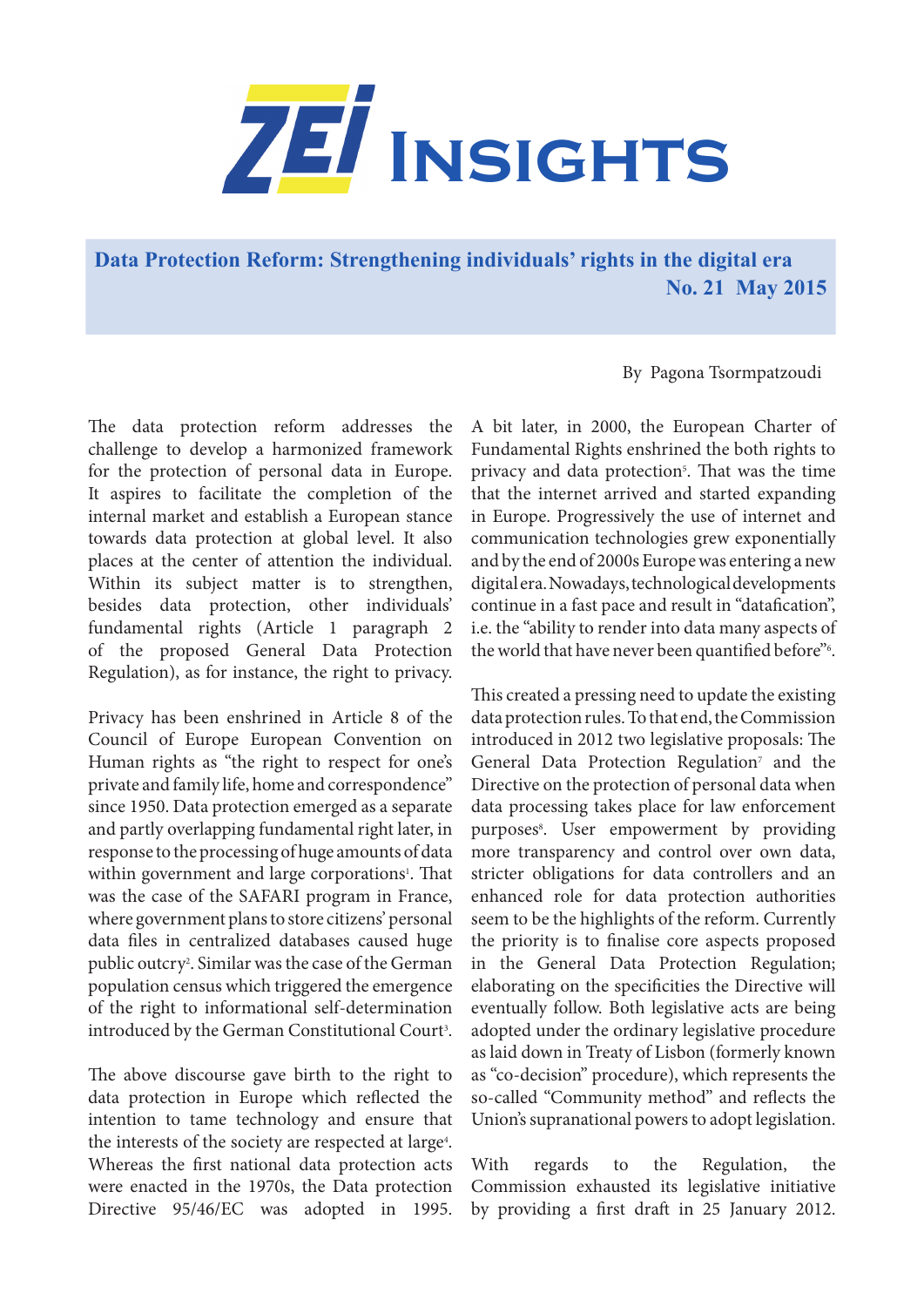

**Data Protection Reform: Strengthening individuals' rights in the digital era No. 21 May 2015**

By Pagona Tsormpatzoudi

The data protection reform addresses the challenge to develop a harmonized framework for the protection of personal data in Europe. It aspires to facilitate the completion of the internal market and establish a European stance towards data protection at global level. It also places at the center of attention the individual. Within its subject matter is to strengthen, besides data protection, other individuals' fundamental rights (Article 1 paragraph 2 of the proposed General Data Protection Regulation), as for instance, the right to privacy.

Privacy has been enshrined in Article 8 of the Council of Europe European Convention on Human rights as "the right to respect for one's private and family life, home and correspondence" since 1950. Data protection emerged as a separate and partly overlapping fundamental right later, in response to the processing of huge amounts of data within government and large corporations<sup>1</sup>. That was the case of the SAFARI program in France, where government plans to store citizens' personal data files in centralized databases caused huge public outcry2 . Similar was the case of the German population census which triggered the emergence of the right to informational self-determination introduced by the German Constitutional Court<sup>3</sup>.

The above discourse gave birth to the right to data protection in Europe which reflected the intention to tame technology and ensure that the interests of the society are respected at large<sup>4</sup>. Whereas the first national data protection acts were enacted in the 1970s, the Data protection Directive 95/46/EC was adopted in 1995.

A bit later, in 2000, the European Charter of Fundamental Rights enshrined the both rights to privacy and data protection<sup>5</sup>. That was the time that the internet arrived and started expanding in Europe. Progressively the use of internet and communication technologies grew exponentially and by the end of 2000s Europe was entering a new digital era. Nowadays, technological developments continue in a fast pace and result in "datafication", i.e. the "ability to render into data many aspects of the world that have never been quantified before"<sup>6</sup>.

This created a pressing need to update the existing data protection rules. To that end, the Commission introduced in 2012 two legislative proposals: The General Data Protection Regulation<sup>7</sup> and the Directive on the protection of personal data when data processing takes place for law enforcement purposes<sup>8</sup>. User empowerment by providing more transparency and control over own data, stricter obligations for data controllers and an enhanced role for data protection authorities seem to be the highlights of the reform. Currently the priority is to finalise core aspects proposed in the General Data Protection Regulation; elaborating on the specificities the Directive will eventually follow. Both legislative acts are being adopted under the ordinary legislative procedure as laid down in Treaty of Lisbon (formerly known as "co-decision" procedure), which represents the so-called "Community method" and reflects the Union's supranational powers to adopt legislation.

With regards to the Regulation, the Commission exhausted its legislative initiative by providing a first draft in 25 January 2012.